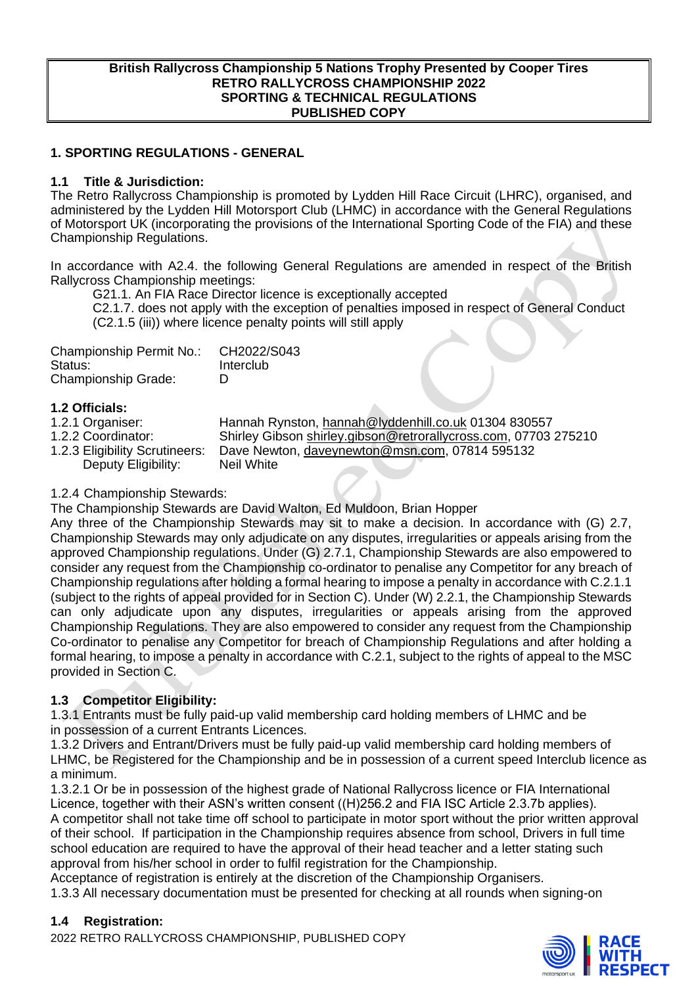#### **British Rallycross Championship 5 Nations Trophy Presented by Cooper Tires RETRO RALLYCROSS CHAMPIONSHIP 2022 SPORTING & TECHNICAL REGULATIONS PUBLISHED COPY**

### **1. SPORTING REGULATIONS - GENERAL**

#### **1.1 Title & Jurisdiction:**

The Retro Rallycross Championship is promoted by Lydden Hill Race Circuit (LHRC), organised, and administered by the Lydden Hill Motorsport Club (LHMC) in accordance with the General Regulations of Motorsport UK (incorporating the provisions of the International Sporting Code of the FIA) and these Championship Regulations.

In accordance with A2.4. the following General Regulations are amended in respect of the British Rallycross Championship meetings:

G21.1. An FIA Race Director licence is exceptionally accepted

C2.1.7. does not apply with the exception of penalties imposed in respect of General Conduct (C2.1.5 (iii)) where licence penalty points will still apply

| Championship Permit No.:   | CH2022/S043 |
|----------------------------|-------------|
| Status:                    | Interclub   |
| <b>Championship Grade:</b> | D           |

- **1.2 Officials:**
- 

1.2.1 Organiser: Hannah Rynston, [hannah@lyddenhill.co.uk](mailto:hannah@lyddenhill.co.uk) 01304 830557<br>1.2.2 Coordinator: Shirley Gibson shirley.gibson@retrorallycross.com, 07703 1.2.2 Coordinator: Shirley Gibson [shirley.gibson@retrorallycross.com,](mailto:shirley.gibson@retrorallycross.com) 07703 275210<br>1.2.3 Eligibility Scrutineers: Dave Newton, daveynewton@msn.com, 07814 595132 Dave Newton, [daveynewton@msn.com,](mailto:daveynewton@msn.com) 07814 595132 Deputy Eligibility: Neil White

#### 1.2.4 Championship Stewards:

The Championship Stewards are David Walton, Ed Muldoon, Brian Hopper

Any three of the Championship Stewards may sit to make a decision. In accordance with (G) 2.7, Championship Stewards may only adjudicate on any disputes, irregularities or appeals arising from the approved Championship regulations. Under (G) 2.7.1, Championship Stewards are also empowered to consider any request from the Championship co-ordinator to penalise any Competitor for any breach of Championship regulations after holding a formal hearing to impose a penalty in accordance with C.2.1.1 (subject to the rights of appeal provided for in Section C). Under (W) 2.2.1, the Championship Stewards can only adjudicate upon any disputes, irregularities or appeals arising from the approved Championship Regulations. They are also empowered to consider any request from the Championship Co-ordinator to penalise any Competitor for breach of Championship Regulations and after holding a formal hearing, to impose a penalty in accordance with C.2.1, subject to the rights of appeal to the MSC provided in Section C.

## **1.3 Competitor Eligibility:**

1.3.1 Entrants must be fully paid-up valid membership card holding members of LHMC and be in possession of a current Entrants Licences.

1.3.2 Drivers and Entrant/Drivers must be fully paid-up valid membership card holding members of LHMC, be Registered for the Championship and be in possession of a current speed Interclub licence as a minimum.

1.3.2.1 Or be in possession of the highest grade of National Rallycross licence or FIA International Licence, together with their ASN's written consent ((H)256.2 and FIA ISC Article 2.3.7b applies). A competitor shall not take time off school to participate in motor sport without the prior written approval of their school. If participation in the Championship requires absence from school, Drivers in full time school education are required to have the approval of their head teacher and a letter stating such approval from his/her school in order to fulfil registration for the Championship.

Acceptance of registration is entirely at the discretion of the Championship Organisers.

1.3.3 All necessary documentation must be presented for checking at all rounds when signing-on

#### **1.4 Registration:**

2022 RETRO RALLYCROSS CHAMPIONSHIP, PUBLISHED COPY

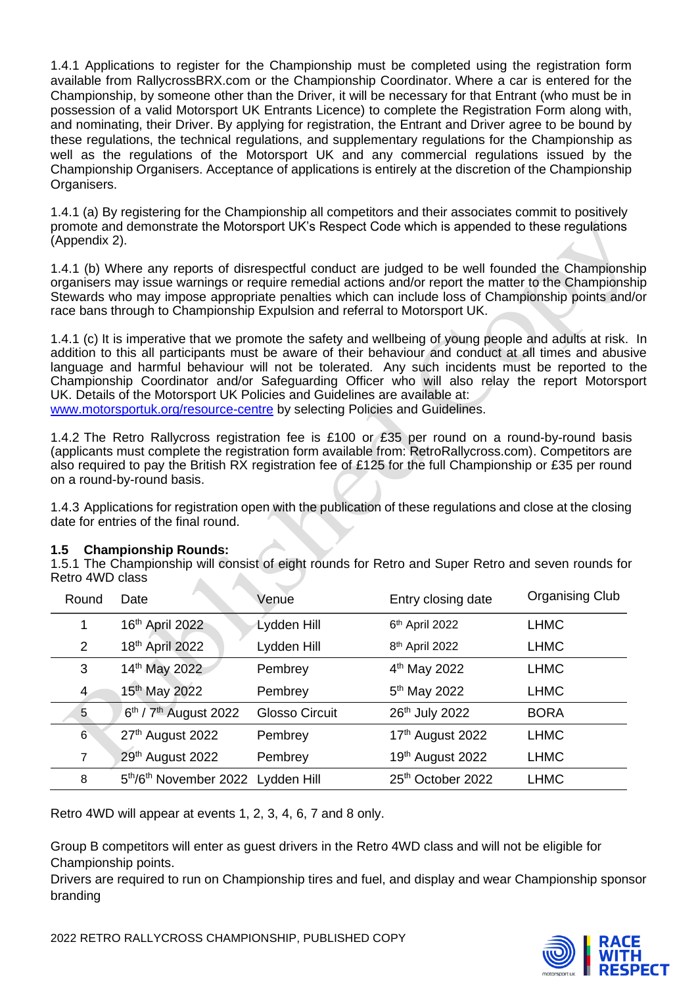1.4.1 Applications to register for the Championship must be completed using the registration form available from RallycrossBRX.com or the Championship Coordinator. Where a car is entered for the Championship, by someone other than the Driver, it will be necessary for that Entrant (who must be in possession of a valid Motorsport UK Entrants Licence) to complete the Registration Form along with, and nominating, their Driver. By applying for registration, the Entrant and Driver agree to be bound by these regulations, the technical regulations, and supplementary regulations for the Championship as well as the regulations of the Motorsport UK and any commercial regulations issued by the Championship Organisers. Acceptance of applications is entirely at the discretion of the Championship Organisers.

1.4.1 (a) By registering for the Championship all competitors and their associates commit to positively promote and demonstrate the Motorsport UK's Respect Code which is appended to these regulations (Appendix 2).

1.4.1 (b) Where any reports of disrespectful conduct are judged to be well founded the Championship organisers may issue warnings or require remedial actions and/or report the matter to the Championship Stewards who may impose appropriate penalties which can include loss of Championship points and/or race bans through to Championship Expulsion and referral to Motorsport UK.

1.4.1 (c) It is imperative that we promote the safety and wellbeing of young people and adults at risk. In addition to this all participants must be aware of their behaviour and conduct at all times and abusive language and harmful behaviour will not be tolerated. Any such incidents must be reported to the Championship Coordinator and/or Safeguarding Officer who will also relay the report Motorsport UK. Details of the Motorsport UK Policies and Guidelines are available at: [www.motorsportuk.org/resource-centre](http://www.motorsportuk.org/resource-centre) by selecting Policies and Guidelines.

1.4.2 The Retro Rallycross registration fee is £100 or £35 per round on a round-by-round basis (applicants must complete the registration form available from: RetroRallycross.com). Competitors are also required to pay the British RX registration fee of £125 for the full Championship or £35 per round on a round-by-round basis.

1.4.3 Applications for registration open with the publication of these regulations and close at the closing date for entries of the final round.

#### **1.5 Championship Rounds:**

1.5.1 The Championship will consist of eight rounds for Retro and Super Retro and seven rounds for Retro 4WD class  $\Delta \omega$ 

| Round          | Date                                          | Venue                 | Entry closing date         | <b>Organising Club</b> |
|----------------|-----------------------------------------------|-----------------------|----------------------------|------------------------|
|                | 16th April 2022                               | Lydden Hill           | 6 <sup>th</sup> April 2022 | <b>LHMC</b>            |
| 2              | 18th April 2022                               | Lydden Hill           | 8 <sup>th</sup> April 2022 | <b>LHMC</b>            |
| 3              | 14th May 2022                                 | Pembrey               | 4 <sup>th</sup> May 2022   | <b>LHMC</b>            |
| $\overline{4}$ | 15 <sup>th</sup> May 2022                     | Pembrey               | 5 <sup>th</sup> May 2022   | <b>LHMC</b>            |
| 5              | 6 <sup>th</sup> / 7 <sup>th</sup> August 2022 | <b>Glosso Circuit</b> | 26th July 2022             | <b>BORA</b>            |
| 6              | 27th August 2022                              | Pembrey               | 17th August 2022           | <b>LHMC</b>            |
| 7              | 29th August 2022                              | Pembrey               | 19th August 2022           | <b>LHMC</b>            |
| 8              | 5th/6th November 2022 Lydden Hill             |                       | 25th October 2022          | <b>LHMC</b>            |

Retro 4WD will appear at events 1, 2, 3, 4, 6, 7 and 8 only.

Group B competitors will enter as guest drivers in the Retro 4WD class and will not be eligible for Championship points.

Drivers are required to run on Championship tires and fuel, and display and wear Championship sponsor branding



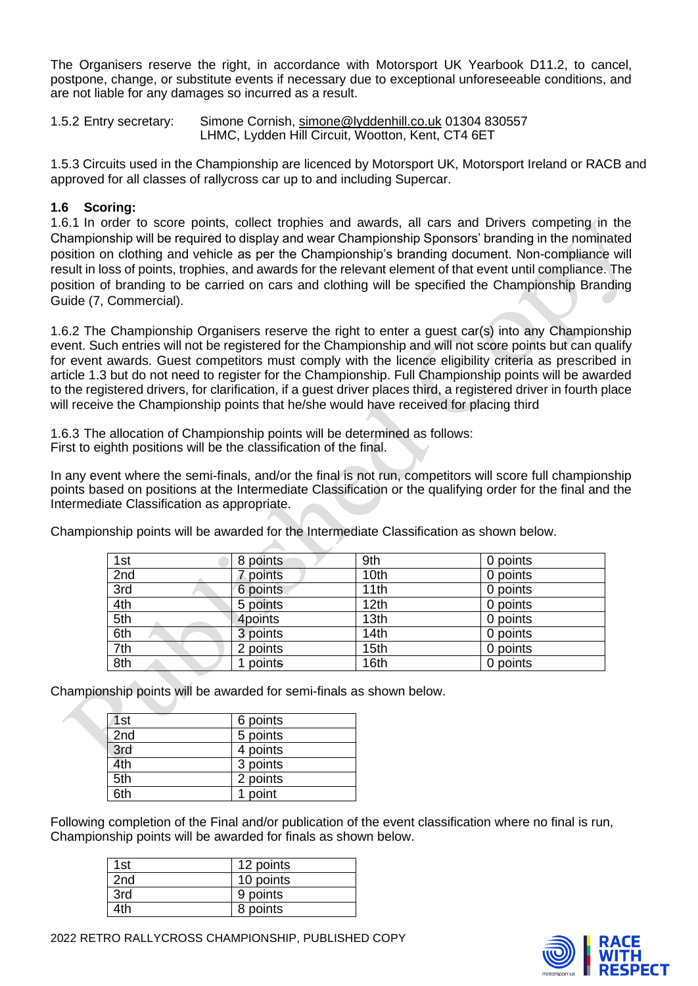The Organisers reserve the right, in accordance with Motorsport UK Yearbook D11.2, to cancel, postpone, change, or substitute events if necessary due to exceptional unforeseeable conditions, and are not liable for any damages so incurred as a result.

1.5.2 Entry secretary: Simone Cornish, [simone@lyddenhill.co.uk](mailto:simone@lyddenhill.co.uk) 01304 830557 LHMC, Lydden Hill Circuit, Wootton, Kent, CT4 6ET

1.5.3 Circuits used in the Championship are licenced by Motorsport UK, Motorsport Ireland or RACB and approved for all classes of rallycross car up to and including Supercar.

#### **1.6 Scoring:**

1.6.1 In order to score points, collect trophies and awards, all cars and Drivers competing in the Championship will be required to display and wear Championship Sponsors' branding in the nominated position on clothing and vehicle as per the Championship's branding document. Non-compliance will result in loss of points, trophies, and awards for the relevant element of that event until compliance. The position of branding to be carried on cars and clothing will be specified the Championship Branding Guide (7, Commercial).

1.6.2 The Championship Organisers reserve the right to enter a guest car(s) into any Championship event. Such entries will not be registered for the Championship and will not score points but can qualify for event awards. Guest competitors must comply with the licence eligibility criteria as prescribed in article 1.3 but do not need to register for the Championship. Full Championship points will be awarded to the registered drivers, for clarification, if a guest driver places third, a registered driver in fourth place will receive the Championship points that he/she would have received for placing third

1.6.3 The allocation of Championship points will be determined as follows: First to eighth positions will be the classification of the final.

In any event where the semi-finals, and/or the final is not run, competitors will score full championship points based on positions at the Intermediate Classification or the qualifying order for the final and the Intermediate Classification as appropriate.

Championship points will be awarded for the Intermediate Classification as shown below.

| 1st | 8 points | 9th              | 0 points |
|-----|----------|------------------|----------|
| 2nd | 7 points | 10th             | 0 points |
| 3rd | 6 points | 11th             | 0 points |
| 4th | 5 points | 12 <sub>th</sub> | 0 points |
| 5th | 4points  | 13 <sub>th</sub> | 0 points |
| 6th | 3 points | 14th             | 0 points |
| 7th | 2 points | 15 <sub>th</sub> | 0 points |
| 8th | points   | 16th             | 0 points |

Championship points will be awarded for semi-finals as shown below.

| 1st | 6 points |
|-----|----------|
| 2nd | 5 points |
| 3rd | 4 points |
| 4th | 3 points |
| 5th | 2 points |
| 6th | point    |

Following completion of the Final and/or publication of the event classification where no final is run, Championship points will be awarded for finals as shown below.

| 1st             | 12 points |
|-----------------|-----------|
| 2 <sub>nd</sub> | 10 points |
| 3rd             | 9 points  |
| 4th             | 8 points  |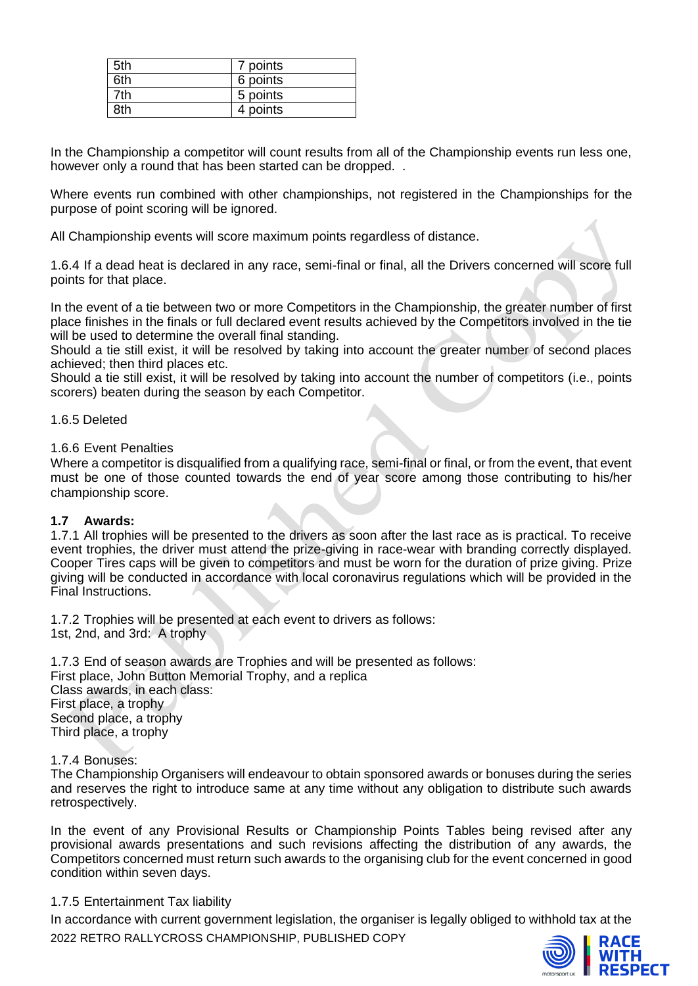| 5th | 7 points |
|-----|----------|
| 6th | 6 points |
| 'th | 5 points |
| }th | 4 points |

In the Championship a competitor will count results from all of the Championship events run less one, however only a round that has been started can be dropped. .

Where events run combined with other championships, not registered in the Championships for the purpose of point scoring will be ignored.

All Championship events will score maximum points regardless of distance.

1.6.4 If a dead heat is declared in any race, semi-final or final, all the Drivers concerned will score full points for that place.

In the event of a tie between two or more Competitors in the Championship, the greater number of first place finishes in the finals or full declared event results achieved by the Competitors involved in the tie will be used to determine the overall final standing.

Should a tie still exist, it will be resolved by taking into account the greater number of second places achieved; then third places etc.

Should a tie still exist, it will be resolved by taking into account the number of competitors (i.e., points scorers) beaten during the season by each Competitor.

1.6.5 Deleted

1.6.6 Event Penalties

Where a competitor is disqualified from a qualifying race, semi-final or final, or from the event, that event must be one of those counted towards the end of year score among those contributing to his/her championship score.

#### **1.7 Awards:**

1.7.1 All trophies will be presented to the drivers as soon after the last race as is practical. To receive event trophies, the driver must attend the prize-giving in race-wear with branding correctly displayed. Cooper Tires caps will be given to competitors and must be worn for the duration of prize giving. Prize giving will be conducted in accordance with local coronavirus regulations which will be provided in the Final Instructions.

1.7.2 Trophies will be presented at each event to drivers as follows: 1st, 2nd, and 3rd: A trophy

1.7.3 End of season awards are Trophies and will be presented as follows: First place, John Button Memorial Trophy, and a replica Class awards, in each class: First place, a trophy Second place, a trophy Third place, a trophy

#### 1.7.4 Bonuses:

The Championship Organisers will endeavour to obtain sponsored awards or bonuses during the series and reserves the right to introduce same at any time without any obligation to distribute such awards retrospectively.

In the event of any Provisional Results or Championship Points Tables being revised after any provisional awards presentations and such revisions affecting the distribution of any awards, the Competitors concerned must return such awards to the organising club for the event concerned in good condition within seven days.

#### 1.7.5 Entertainment Tax liability

2022 RETRO RALLYCROSS CHAMPIONSHIP, PUBLISHED COPY In accordance with current government legislation, the organiser is legally obliged to withhold tax at the

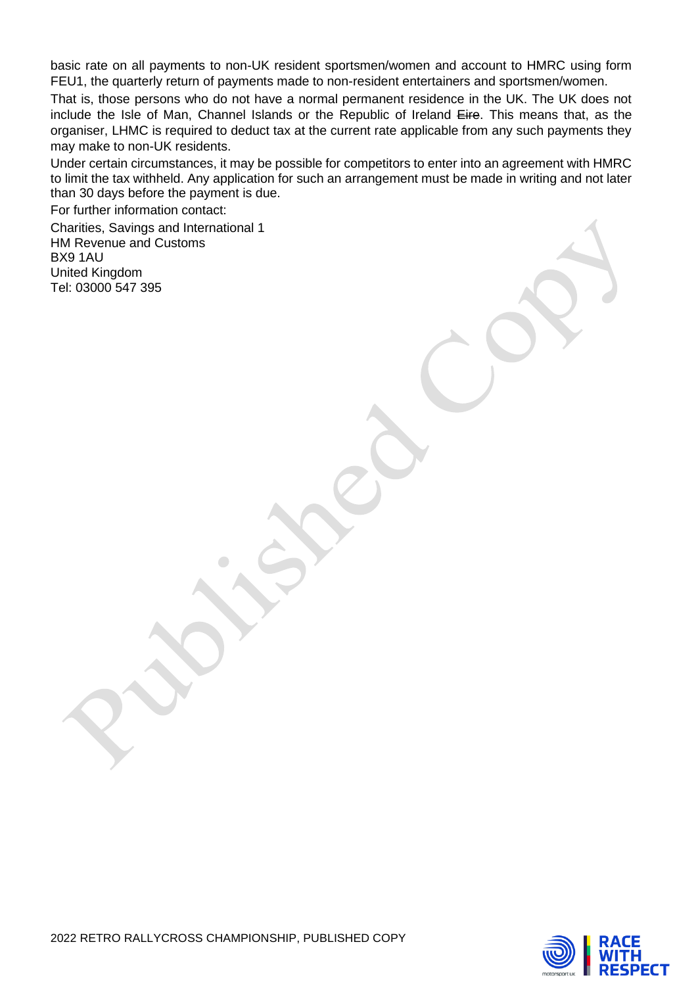basic rate on all payments to non-UK resident sportsmen/women and account to HMRC using form FEU1, the quarterly return of payments made to non-resident entertainers and sportsmen/women.

That is, those persons who do not have a normal permanent residence in the UK. The UK does not include the Isle of Man, Channel Islands or the Republic of Ireland Eire. This means that, as the organiser, LHMC is required to deduct tax at the current rate applicable from any such payments they may make to non-UK residents.

Under certain circumstances, it may be possible for competitors to enter into an agreement with HMRC to limit the tax withheld. Any application for such an arrangement must be made in writing and not later than 30 days before the payment is due.

For further information contact:

Charities, Savings and International 1 HM Revenue and Customs BX9 1AU United Kingdom Tel: 03000 547 395

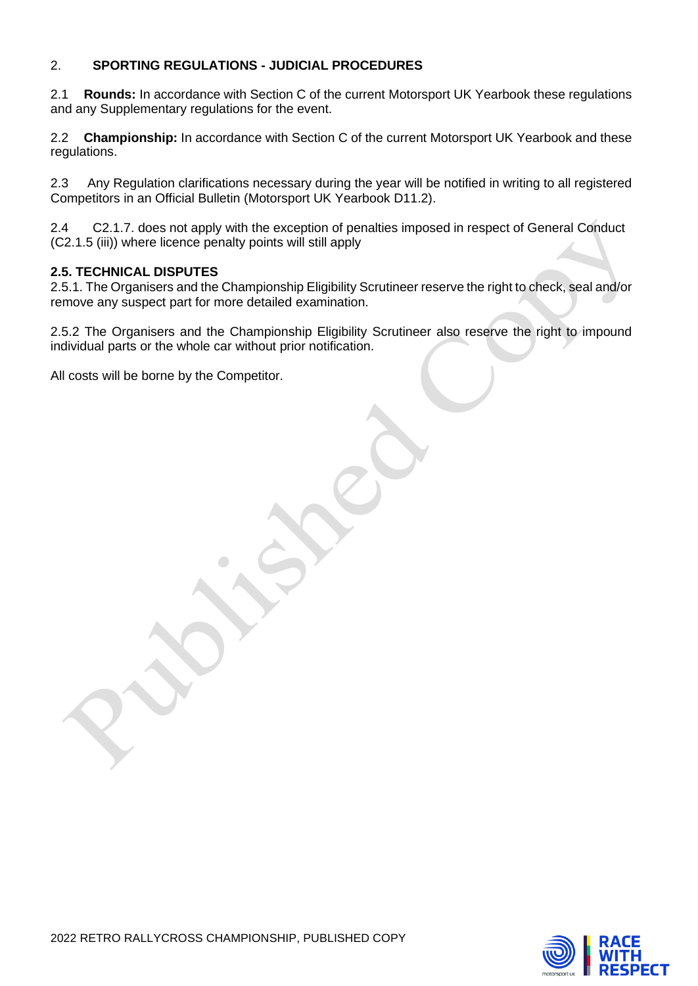## 2. **SPORTING REGULATIONS - JUDICIAL PROCEDURES**

2.1 **Rounds:** In accordance with Section C of the current Motorsport UK Yearbook these regulations and any Supplementary regulations for the event.

2.2 **Championship:** In accordance with Section C of the current Motorsport UK Yearbook and these regulations.

2.3 Any Regulation clarifications necessary during the year will be notified in writing to all registered Competitors in an Official Bulletin (Motorsport UK Yearbook D11.2).

2.4 C2.1.7. does not apply with the exception of penalties imposed in respect of General Conduct (C2.1.5 (iii)) where licence penalty points will still apply

#### **2.5. TECHNICAL DISPUTES**

2.5.1. The Organisers and the Championship Eligibility Scrutineer reserve the right to check, seal and/or remove any suspect part for more detailed examination.

2.5.2 The Organisers and the Championship Eligibility Scrutineer also reserve the right to impound individual parts or the whole car without prior notification.

All costs will be borne by the Competitor.

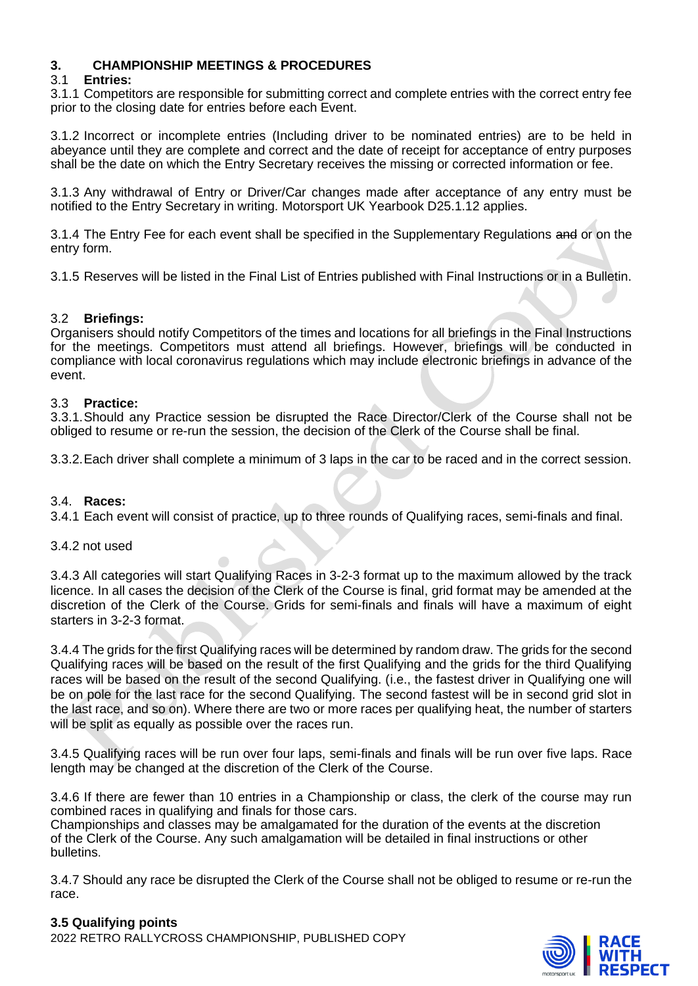## **3. CHAMPIONSHIP MEETINGS & PROCEDURES**

### 3.1 **Entries:**

3.1.1 Competitors are responsible for submitting correct and complete entries with the correct entry fee prior to the closing date for entries before each Event.

3.1.2 Incorrect or incomplete entries (Including driver to be nominated entries) are to be held in abeyance until they are complete and correct and the date of receipt for acceptance of entry purposes shall be the date on which the Entry Secretary receives the missing or corrected information or fee.

3.1.3 Any withdrawal of Entry or Driver/Car changes made after acceptance of any entry must be notified to the Entry Secretary in writing. Motorsport UK Yearbook D25.1.12 applies.

3.1.4 The Entry Fee for each event shall be specified in the Supplementary Regulations and or on the entry form.

3.1.5 Reserves will be listed in the Final List of Entries published with Final Instructions or in a Bulletin.

### 3.2 **Briefings:**

Organisers should notify Competitors of the times and locations for all briefings in the Final Instructions for the meetings. Competitors must attend all briefings. However, briefings will be conducted in compliance with local coronavirus regulations which may include electronic briefings in advance of the event.

#### 3.3 **Practice:**

3.3.1.Should any Practice session be disrupted the Race Director/Clerk of the Course shall not be obliged to resume or re-run the session, the decision of the Clerk of the Course shall be final.

3.3.2.Each driver shall complete a minimum of 3 laps in the car to be raced and in the correct session.

#### 3.4. **Races:**

3.4.1 Each event will consist of practice, up to three rounds of Qualifying races, semi-finals and final.

#### 3.4.2 not used

3.4.3 All categories will start Qualifying Races in 3-2-3 format up to the maximum allowed by the track licence. In all cases the decision of the Clerk of the Course is final, grid format may be amended at the discretion of the Clerk of the Course. Grids for semi-finals and finals will have a maximum of eight starters in 3-2-3 format.

3.4.4 The grids for the first Qualifying races will be determined by random draw. The grids for the second Qualifying races will be based on the result of the first Qualifying and the grids for the third Qualifying races will be based on the result of the second Qualifying. (i.e., the fastest driver in Qualifying one will be on pole for the last race for the second Qualifying. The second fastest will be in second grid slot in the last race, and so on). Where there are two or more races per qualifying heat, the number of starters will be split as equally as possible over the races run.

3.4.5 Qualifying races will be run over four laps, semi-finals and finals will be run over five laps. Race length may be changed at the discretion of the Clerk of the Course.

3.4.6 If there are fewer than 10 entries in a Championship or class, the clerk of the course may run combined races in qualifying and finals for those cars.

Championships and classes may be amalgamated for the duration of the events at the discretion of the Clerk of the Course. Any such amalgamation will be detailed in final instructions or other bulletins.

3.4.7 Should any race be disrupted the Clerk of the Course shall not be obliged to resume or re-run the race.

#### **3.5 Qualifying points**

2022 RETRO RALLYCROSS CHAMPIONSHIP, PUBLISHED COPY

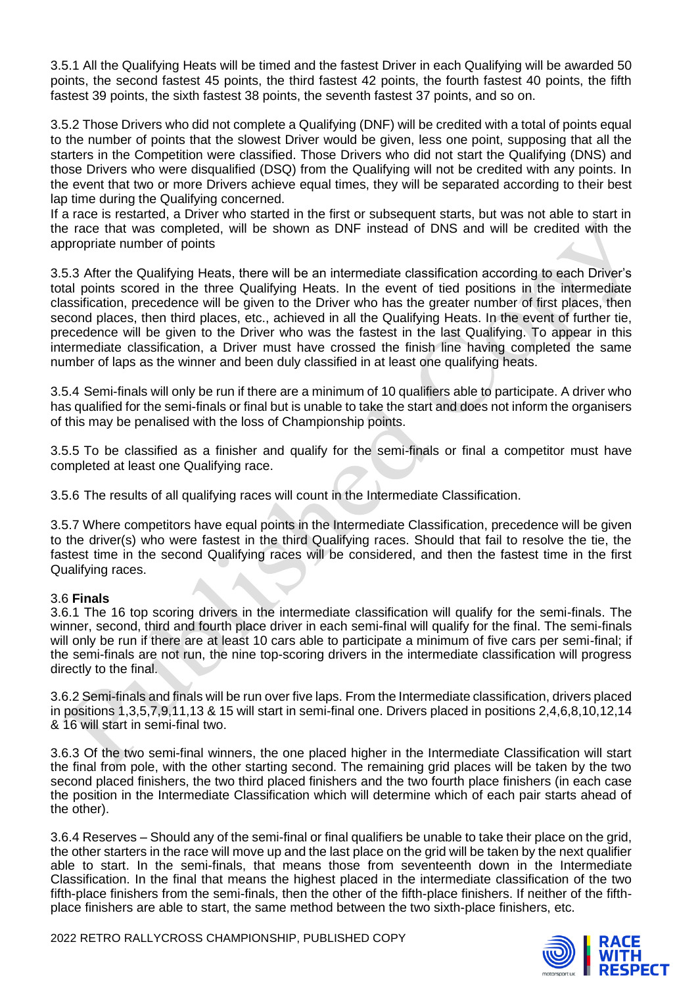3.5.1 All the Qualifying Heats will be timed and the fastest Driver in each Qualifying will be awarded 50 points, the second fastest 45 points, the third fastest 42 points, the fourth fastest 40 points, the fifth fastest 39 points, the sixth fastest 38 points, the seventh fastest 37 points, and so on.

3.5.2 Those Drivers who did not complete a Qualifying (DNF) will be credited with a total of points equal to the number of points that the slowest Driver would be given, less one point, supposing that all the starters in the Competition were classified. Those Drivers who did not start the Qualifying (DNS) and those Drivers who were disqualified (DSQ) from the Qualifying will not be credited with any points. In the event that two or more Drivers achieve equal times, they will be separated according to their best lap time during the Qualifying concerned.

If a race is restarted, a Driver who started in the first or subsequent starts, but was not able to start in the race that was completed, will be shown as DNF instead of DNS and will be credited with the appropriate number of points

3.5.3 After the Qualifying Heats, there will be an intermediate classification according to each Driver's total points scored in the three Qualifying Heats. In the event of tied positions in the intermediate classification, precedence will be given to the Driver who has the greater number of first places, then second places, then third places, etc., achieved in all the Qualifying Heats. In the event of further tie, precedence will be given to the Driver who was the fastest in the last Qualifying. To appear in this intermediate classification, a Driver must have crossed the finish line having completed the same number of laps as the winner and been duly classified in at least one qualifying heats.

3.5.4 Semi-finals will only be run if there are a minimum of 10 qualifiers able to participate. A driver who has qualified for the semi-finals or final but is unable to take the start and does not inform the organisers of this may be penalised with the loss of Championship points.

3.5.5 To be classified as a finisher and qualify for the semi-finals or final a competitor must have completed at least one Qualifying race.

3.5.6 The results of all qualifying races will count in the Intermediate Classification.

3.5.7 Where competitors have equal points in the Intermediate Classification, precedence will be given to the driver(s) who were fastest in the third Qualifying races. Should that fail to resolve the tie, the fastest time in the second Qualifying races will be considered, and then the fastest time in the first Qualifying races.

#### 3.6 **Finals**

3.6.1 The 16 top scoring drivers in the intermediate classification will qualify for the semi-finals. The winner, second, third and fourth place driver in each semi-final will qualify for the final. The semi-finals will only be run if there are at least 10 cars able to participate a minimum of five cars per semi-final; if the semi-finals are not run, the nine top-scoring drivers in the intermediate classification will progress directly to the final.

3.6.2 Semi-finals and finals will be run over five laps. From the Intermediate classification, drivers placed in positions 1,3,5,7,9,11,13 & 15 will start in semi-final one. Drivers placed in positions 2,4,6,8,10,12,14 & 16 will start in semi-final two.

3.6.3 Of the two semi-final winners, the one placed higher in the Intermediate Classification will start the final from pole, with the other starting second. The remaining grid places will be taken by the two second placed finishers, the two third placed finishers and the two fourth place finishers (in each case the position in the Intermediate Classification which will determine which of each pair starts ahead of the other).

3.6.4 Reserves – Should any of the semi-final or final qualifiers be unable to take their place on the grid, the other starters in the race will move up and the last place on the grid will be taken by the next qualifier able to start. In the semi-finals, that means those from seventeenth down in the Intermediate Classification. In the final that means the highest placed in the intermediate classification of the two fifth-place finishers from the semi-finals, then the other of the fifth-place finishers. If neither of the fifthplace finishers are able to start, the same method between the two sixth-place finishers, etc.



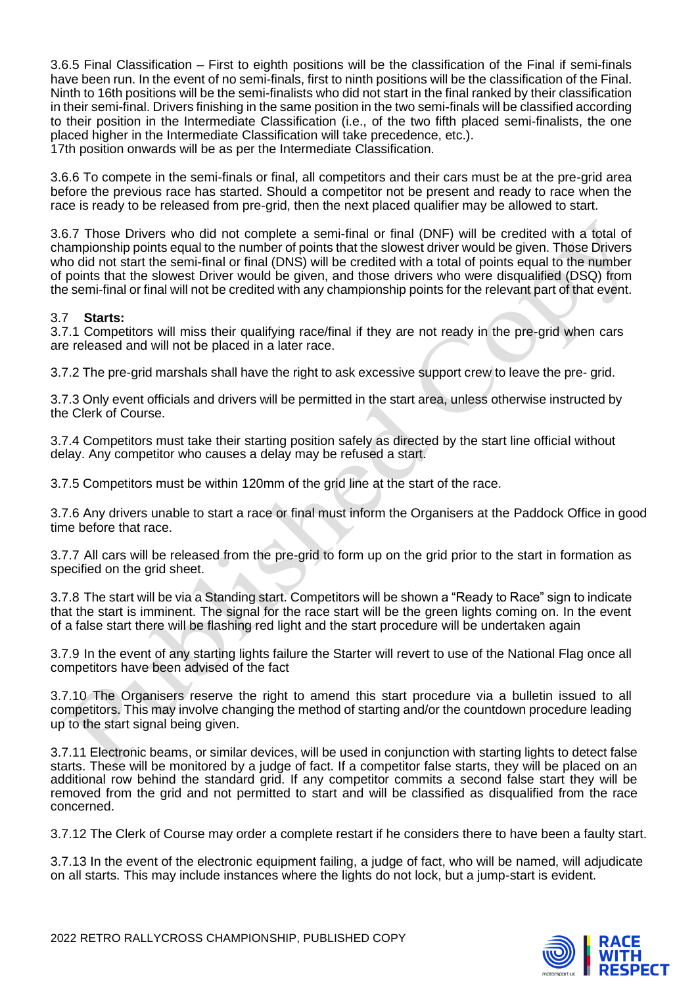3.6.5 Final Classification – First to eighth positions will be the classification of the Final if semi-finals have been run. In the event of no semi-finals, first to ninth positions will be the classification of the Final. Ninth to 16th positions will be the semi-finalists who did not start in the final ranked by their classification in their semi-final. Drivers finishing in the same position in the two semi-finals will be classified according to their position in the Intermediate Classification (i.e., of the two fifth placed semi-finalists, the one placed higher in the Intermediate Classification will take precedence, etc.). 17th position onwards will be as per the Intermediate Classification.

3.6.6 To compete in the semi-finals or final, all competitors and their cars must be at the pre-grid area before the previous race has started. Should a competitor not be present and ready to race when the race is ready to be released from pre-grid, then the next placed qualifier may be allowed to start.

3.6.7 Those Drivers who did not complete a semi-final or final (DNF) will be credited with a total of championship points equal to the number of points that the slowest driver would be given. Those Drivers who did not start the semi-final or final (DNS) will be credited with a total of points equal to the number of points that the slowest Driver would be given, and those drivers who were disqualified (DSQ) from the semi-final or final will not be credited with any championship points for the relevant part of that event.

#### 3.7 **Starts:**

3.7.1 Competitors will miss their qualifying race/final if they are not ready in the pre-grid when cars are released and will not be placed in a later race.

3.7.2 The pre-grid marshals shall have the right to ask excessive support crew to leave the pre- grid.

3.7.3 Only event officials and drivers will be permitted in the start area, unless otherwise instructed by the Clerk of Course.

3.7.4 Competitors must take their starting position safely as directed by the start line official without delay. Any competitor who causes a delay may be refused a start.

3.7.5 Competitors must be within 120mm of the grid line at the start of the race.

3.7.6 Any drivers unable to start a race or final must inform the Organisers at the Paddock Office in good time before that race.

3.7.7 All cars will be released from the pre-grid to form up on the grid prior to the start in formation as specified on the grid sheet.

3.7.8 The start will be via a Standing start. Competitors will be shown a "Ready to Race" sign to indicate that the start is imminent. The signal for the race start will be the green lights coming on. In the event of a false start there will be flashing red light and the start procedure will be undertaken again

3.7.9 In the event of any starting lights failure the Starter will revert to use of the National Flag once all competitors have been advised of the fact

3.7.10 The Organisers reserve the right to amend this start procedure via a bulletin issued to all competitors. This may involve changing the method of starting and/or the countdown procedure leading up to the start signal being given.

3.7.11 Electronic beams, or similar devices, will be used in conjunction with starting lights to detect false starts. These will be monitored by a judge of fact. If a competitor false starts, they will be placed on an additional row behind the standard grid. If any competitor commits a second false start they will be removed from the grid and not permitted to start and will be classified as disqualified from the race concerned.

3.7.12 The Clerk of Course may order a complete restart if he considers there to have been a faulty start.

3.7.13 In the event of the electronic equipment failing, a judge of fact, who will be named, will adjudicate on all starts. This may include instances where the lights do not lock, but a jump-start is evident.

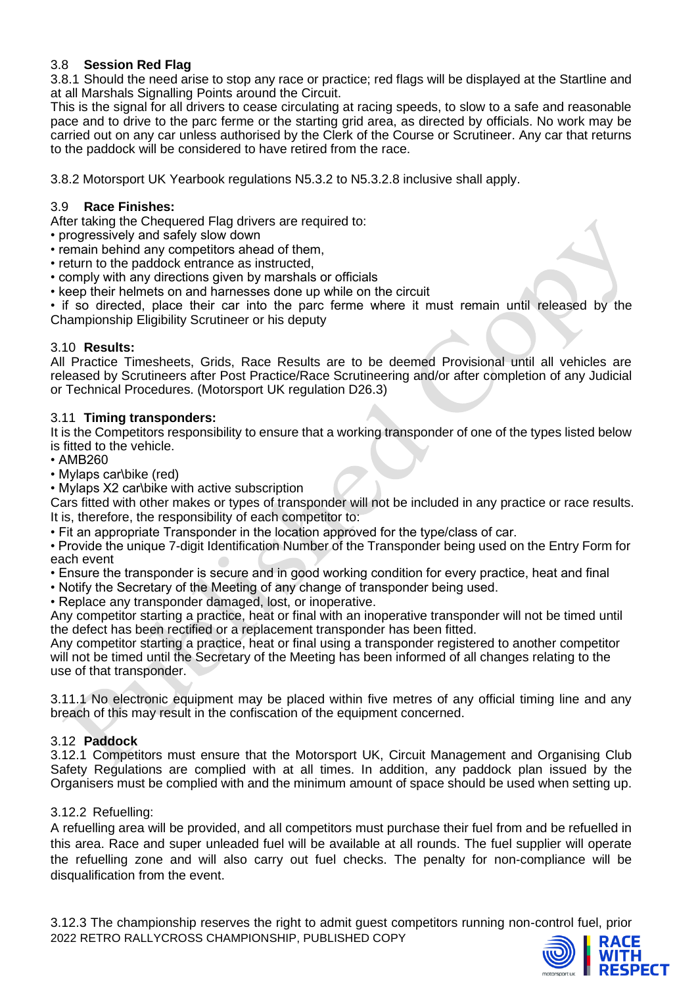## 3.8 **Session Red Flag**

3.8.1 Should the need arise to stop any race or practice; red flags will be displayed at the Startline and at all Marshals Signalling Points around the Circuit.

This is the signal for all drivers to cease circulating at racing speeds, to slow to a safe and reasonable pace and to drive to the parc ferme or the starting grid area, as directed by officials. No work may be carried out on any car unless authorised by the Clerk of the Course or Scrutineer. Any car that returns to the paddock will be considered to have retired from the race.

3.8.2 Motorsport UK Yearbook regulations N5.3.2 to N5.3.2.8 inclusive shall apply.

## 3.9 **Race Finishes:**

After taking the Chequered Flag drivers are required to:

- progressively and safely slow down
- remain behind any competitors ahead of them,
- return to the paddock entrance as instructed,
- comply with any directions given by marshals or officials
- keep their helmets on and harnesses done up while on the circuit

• if so directed, place their car into the parc ferme where it must remain until released by the Championship Eligibility Scrutineer or his deputy

#### 3.10 **Results:**

All Practice Timesheets, Grids, Race Results are to be deemed Provisional until all vehicles are released by Scrutineers after Post Practice/Race Scrutineering and/or after completion of any Judicial or Technical Procedures. (Motorsport UK regulation D26.3)

### 3.11 **Timing transponders:**

It is the Competitors responsibility to ensure that a working transponder of one of the types listed below is fitted to the vehicle.

• AMB260

- Mylaps car\bike (red)
- Mylaps X2 car\bike with active subscription

Cars fitted with other makes or types of transponder will not be included in any practice or race results. It is, therefore, the responsibility of each competitor to:

• Fit an appropriate Transponder in the location approved for the type/class of car.

• Provide the unique 7-digit Identification Number of the Transponder being used on the Entry Form for each event

- Ensure the transponder is secure and in good working condition for every practice, heat and final
- Notify the Secretary of the Meeting of any change of transponder being used.
- Replace any transponder damaged, lost, or inoperative.

Any competitor starting a practice, heat or final with an inoperative transponder will not be timed until the defect has been rectified or a replacement transponder has been fitted.

Any competitor starting a practice, heat or final using a transponder registered to another competitor will not be timed until the Secretary of the Meeting has been informed of all changes relating to the use of that transponder.

3.11.1 No electronic equipment may be placed within five metres of any official timing line and any breach of this may result in the confiscation of the equipment concerned.

## 3.12 **Paddock**

3.12.1 Competitors must ensure that the Motorsport UK, Circuit Management and Organising Club Safety Regulations are complied with at all times. In addition, any paddock plan issued by the Organisers must be complied with and the minimum amount of space should be used when setting up.

## 3.12.2 Refuelling:

A refuelling area will be provided, and all competitors must purchase their fuel from and be refuelled in this area. Race and super unleaded fuel will be available at all rounds. The fuel supplier will operate the refuelling zone and will also carry out fuel checks. The penalty for non-compliance will be disqualification from the event.

2022 RETRO RALLYCROSS CHAMPIONSHIP, PUBLISHED COPY 3.12.3 The championship reserves the right to admit guest competitors running non-control fuel, prior

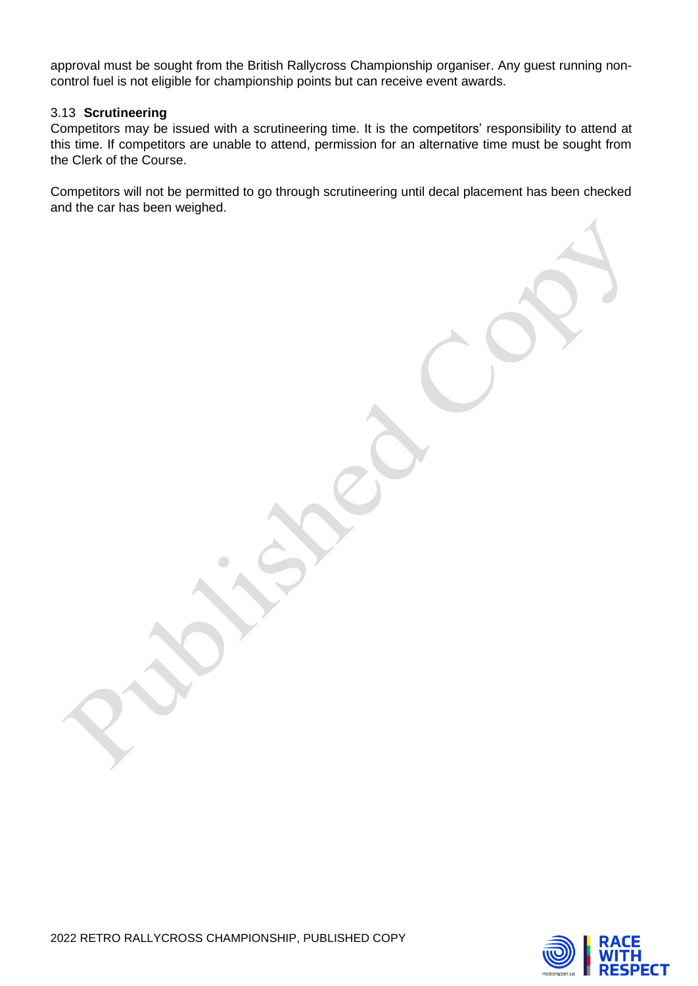approval must be sought from the British Rallycross Championship organiser. Any guest running noncontrol fuel is not eligible for championship points but can receive event awards.

#### 3.13 **Scrutineering**

Competitors may be issued with a scrutineering time. It is the competitors' responsibility to attend at this time. If competitors are unable to attend, permission for an alternative time must be sought from the Clerk of the Course.

Competitors will not be permitted to go through scrutineering until decal placement has been checked and the car has been weighed.

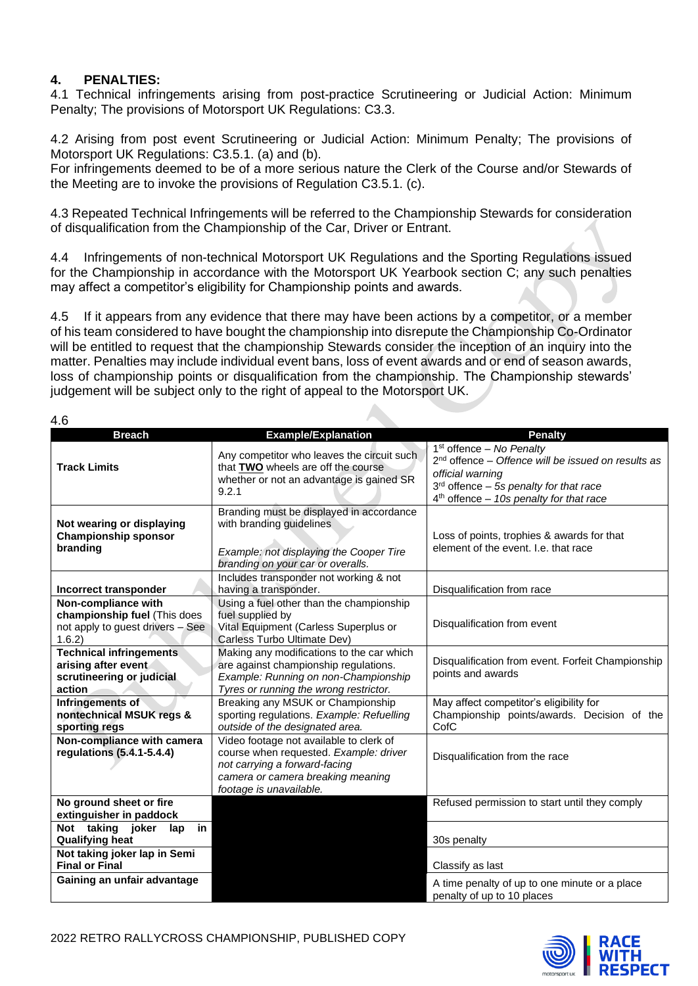## **4. PENALTIES:**

4.1 Technical infringements arising from post-practice Scrutineering or Judicial Action: Minimum Penalty; The provisions of Motorsport UK Regulations: C3.3.

4.2 Arising from post event Scrutineering or Judicial Action: Minimum Penalty; The provisions of Motorsport UK Regulations: C3.5.1. (a) and (b).

For infringements deemed to be of a more serious nature the Clerk of the Course and/or Stewards of the Meeting are to invoke the provisions of Regulation C3.5.1. (c).

4.3 Repeated Technical Infringements will be referred to the Championship Stewards for consideration of disqualification from the Championship of the Car, Driver or Entrant.

4.4 Infringements of non-technical Motorsport UK Regulations and the Sporting Regulations issued for the Championship in accordance with the Motorsport UK Yearbook section C; any such penalties may affect a competitor's eligibility for Championship points and awards.

4.5 If it appears from any evidence that there may have been actions by a competitor, or a member of his team considered to have bought the championship into disrepute the Championship Co-Ordinator will be entitled to request that the championship Stewards consider the inception of an inquiry into the matter. Penalties may include individual event bans, loss of event awards and or end of season awards, loss of championship points or disqualification from the championship. The Championship stewards' judgement will be subject only to the right of appeal to the Motorsport UK.

4.6

| T.V                                                                                               |                                                                                                                                                                                    |                                                                                                                                                                                                 |
|---------------------------------------------------------------------------------------------------|------------------------------------------------------------------------------------------------------------------------------------------------------------------------------------|-------------------------------------------------------------------------------------------------------------------------------------------------------------------------------------------------|
| <b>Breach</b>                                                                                     | <b>Example/Explanation</b>                                                                                                                                                         | <b>Penalty</b>                                                                                                                                                                                  |
| <b>Track Limits</b>                                                                               | Any competitor who leaves the circuit such<br>that TWO wheels are off the course<br>whether or not an advantage is gained SR<br>9.2.1                                              | $1st$ offence – No Penalty<br>$2nd$ offence – Offence will be issued on results as<br>official warning<br>$3rd$ offence - 5s penalty for that race<br>$4th$ offence - 10s penalty for that race |
| Not wearing or displaying<br><b>Championship sponsor</b><br>branding                              | Branding must be displayed in accordance<br>with branding guidelines<br>Example: not displaying the Cooper Tire<br>branding on your car or overalls.                               | Loss of points, trophies & awards for that<br>element of the event. I.e. that race                                                                                                              |
|                                                                                                   | Includes transponder not working & not                                                                                                                                             |                                                                                                                                                                                                 |
| Incorrect transponder                                                                             | having a transponder.                                                                                                                                                              | Disqualification from race                                                                                                                                                                      |
| Non-compliance with<br>championship fuel (This does<br>not apply to guest drivers - See<br>1.6.2) | Using a fuel other than the championship<br>fuel supplied by<br>Vital Equipment (Carless Superplus or<br>Carless Turbo Ultimate Dev)                                               | Disqualification from event                                                                                                                                                                     |
| <b>Technical infringements</b><br>arising after event<br>scrutineering or judicial<br>action      | Making any modifications to the car which<br>are against championship regulations.<br>Example: Running on non-Championship<br>Tyres or running the wrong restrictor.               | Disqualification from event. Forfeit Championship<br>points and awards                                                                                                                          |
| Infringements of<br>nontechnical MSUK regs &<br>sporting regs                                     | Breaking any MSUK or Championship<br>sporting regulations. Example: Refuelling<br>outside of the designated area.                                                                  | May affect competitor's eligibility for<br>Championship points/awards. Decision of the<br>CofC                                                                                                  |
| Non-compliance with camera<br>regulations (5.4.1-5.4.4)                                           | Video footage not available to clerk of<br>course when requested. Example: driver<br>not carrying a forward-facing<br>camera or camera breaking meaning<br>footage is unavailable. | Disqualification from the race                                                                                                                                                                  |
| No ground sheet or fire<br>extinguisher in paddock                                                |                                                                                                                                                                                    | Refused permission to start until they comply                                                                                                                                                   |
| Not taking joker<br>in<br>lap<br><b>Qualifying heat</b>                                           |                                                                                                                                                                                    | 30s penalty                                                                                                                                                                                     |
| Not taking joker lap in Semi<br><b>Final or Final</b>                                             |                                                                                                                                                                                    | Classify as last                                                                                                                                                                                |
| Gaining an unfair advantage                                                                       |                                                                                                                                                                                    | A time penalty of up to one minute or a place<br>penalty of up to 10 places                                                                                                                     |



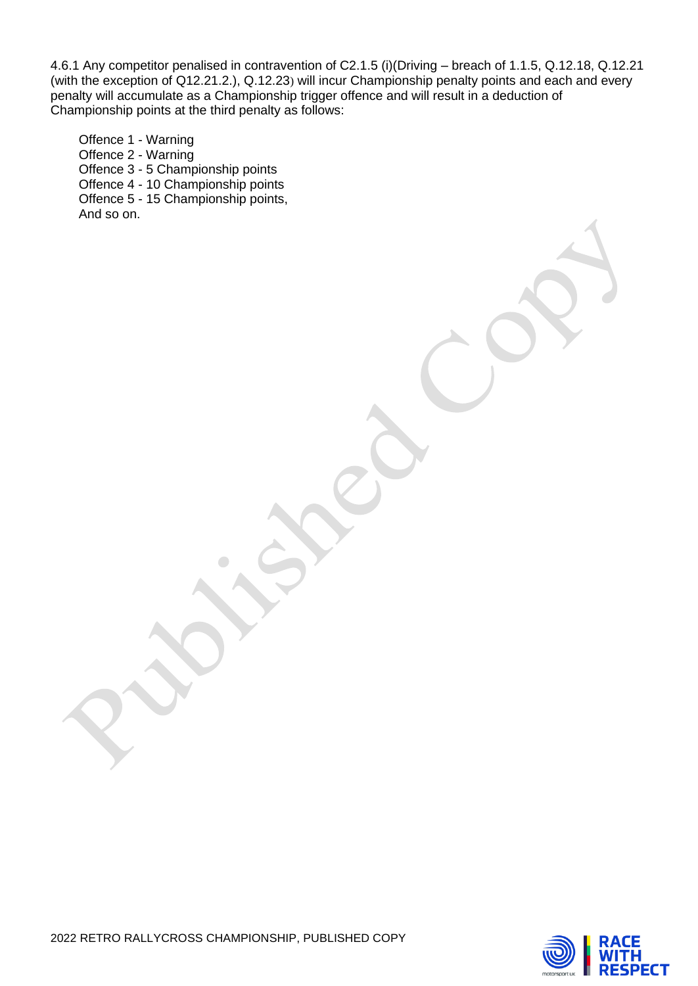4.6.1 Any competitor penalised in contravention of C2.1.5 (i)(Driving – breach of 1.1.5, Q.12.18, Q.12.21 (with the exception of Q12.21.2.), Q.12.23) will incur Championship penalty points and each and every penalty will accumulate as a Championship trigger offence and will result in a deduction of Championship points at the third penalty as follows:

Offence 1 - Warning Offence 2 - Warning Offence 3 - 5 Championship points Offence 4 - 10 Championship points Offence 5 - 15 Championship points, And so on.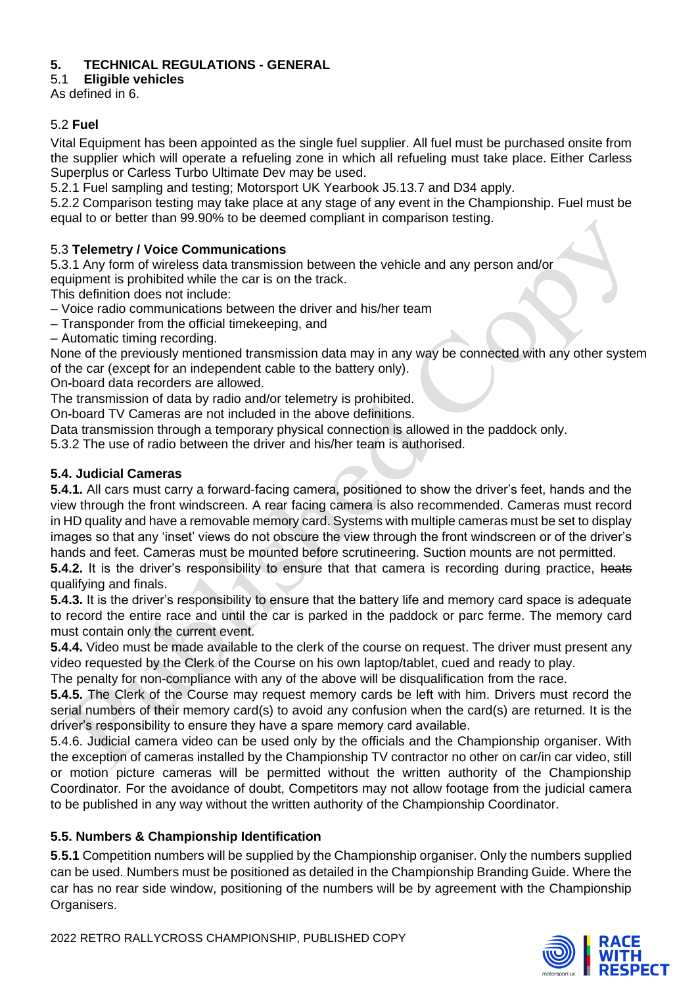## **5. TECHNICAL REGULATIONS - GENERAL**

5.1 **Eligible vehicles**

As defined in 6.

## 5.2 **Fuel**

Vital Equipment has been appointed as the single fuel supplier. All fuel must be purchased onsite from the supplier which will operate a refueling zone in which all refueling must take place. Either Carless Superplus or Carless Turbo Ultimate Dev may be used.

5.2.1 Fuel sampling and testing; Motorsport UK Yearbook J5.13.7 and D34 apply.

5.2.2 Comparison testing may take place at any stage of any event in the Championship. Fuel must be equal to or better than 99.90% to be deemed compliant in comparison testing.

## 5.3 **Telemetry / Voice Communications**

5.3.1 Any form of wireless data transmission between the vehicle and any person and/or equipment is prohibited while the car is on the track.

This definition does not include:

– Voice radio communications between the driver and his/her team

– Transponder from the official timekeeping, and

– Automatic timing recording.

None of the previously mentioned transmission data may in any way be connected with any other system of the car (except for an independent cable to the battery only).

On**‐**board data recorders are allowed.

The transmission of data by radio and/or telemetry is prohibited.

On**‐**board TV Cameras are not included in the above definitions.

Data transmission through a temporary physical connection is allowed in the paddock only.

5.3.2 The use of radio between the driver and his/her team is authorised.

## **5.4. Judicial Cameras**

**5.4.1.** All cars must carry a forward-facing camera, positioned to show the driver's feet, hands and the view through the front windscreen. A rear facing camera is also recommended. Cameras must record in HD quality and have a removable memory card. Systems with multiple cameras must be set to display images so that any 'inset' views do not obscure the view through the front windscreen or of the driver's hands and feet. Cameras must be mounted before scrutineering. Suction mounts are not permitted.

**5.4.2.** It is the driver's responsibility to ensure that that camera is recording during practice, heats qualifying and finals.

**5.4.3.** It is the driver's responsibility to ensure that the battery life and memory card space is adequate to record the entire race and until the car is parked in the paddock or parc ferme. The memory card must contain only the current event.

**5.4.4.** Video must be made available to the clerk of the course on request. The driver must present any video requested by the Clerk of the Course on his own laptop/tablet, cued and ready to play.

The penalty for non-compliance with any of the above will be disqualification from the race.

**5.4.5.** The Clerk of the Course may request memory cards be left with him. Drivers must record the serial numbers of their memory card(s) to avoid any confusion when the card(s) are returned. It is the driver's responsibility to ensure they have a spare memory card available.

5.4.6. Judicial camera video can be used only by the officials and the Championship organiser. With the exception of cameras installed by the Championship TV contractor no other on car/in car video, still or motion picture cameras will be permitted without the written authority of the Championship Coordinator. For the avoidance of doubt, Competitors may not allow footage from the judicial camera to be published in any way without the written authority of the Championship Coordinator.

## **5.5. Numbers & Championship Identification**

**5**.**5.1** Competition numbers will be supplied by the Championship organiser. Only the numbers supplied can be used. Numbers must be positioned as detailed in the Championship Branding Guide. Where the car has no rear side window, positioning of the numbers will be by agreement with the Championship Organisers.



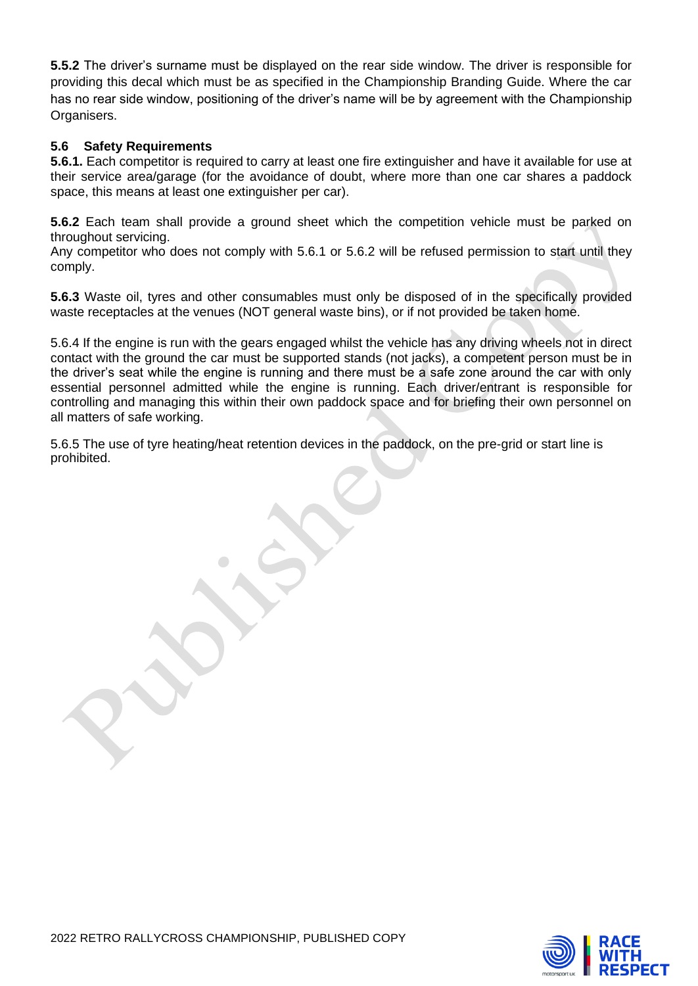**5.5.2** The driver's surname must be displayed on the rear side window. The driver is responsible for providing this decal which must be as specified in the Championship Branding Guide. Where the car has no rear side window, positioning of the driver's name will be by agreement with the Championship Organisers.

### **5.6 Safety Requirements**

**5.6.1.** Each competitor is required to carry at least one fire extinguisher and have it available for use at their service area/garage (for the avoidance of doubt, where more than one car shares a paddock space, this means at least one extinguisher per car).

**5.6.2** Each team shall provide a ground sheet which the competition vehicle must be parked on throughout servicing.

Any competitor who does not comply with 5.6.1 or 5.6.2 will be refused permission to start until they comply.

**5.6.3** Waste oil, tyres and other consumables must only be disposed of in the specifically provided waste receptacles at the venues (NOT general waste bins), or if not provided be taken home.

5.6.4 If the engine is run with the gears engaged whilst the vehicle has any driving wheels not in direct contact with the ground the car must be supported stands (not jacks), a competent person must be in the driver's seat while the engine is running and there must be a safe zone around the car with only essential personnel admitted while the engine is running. Each driver/entrant is responsible for controlling and managing this within their own paddock space and for briefing their own personnel on all matters of safe working.

5.6.5 The use of tyre heating/heat retention devices in the paddock, on the pre-grid or start line is prohibited.

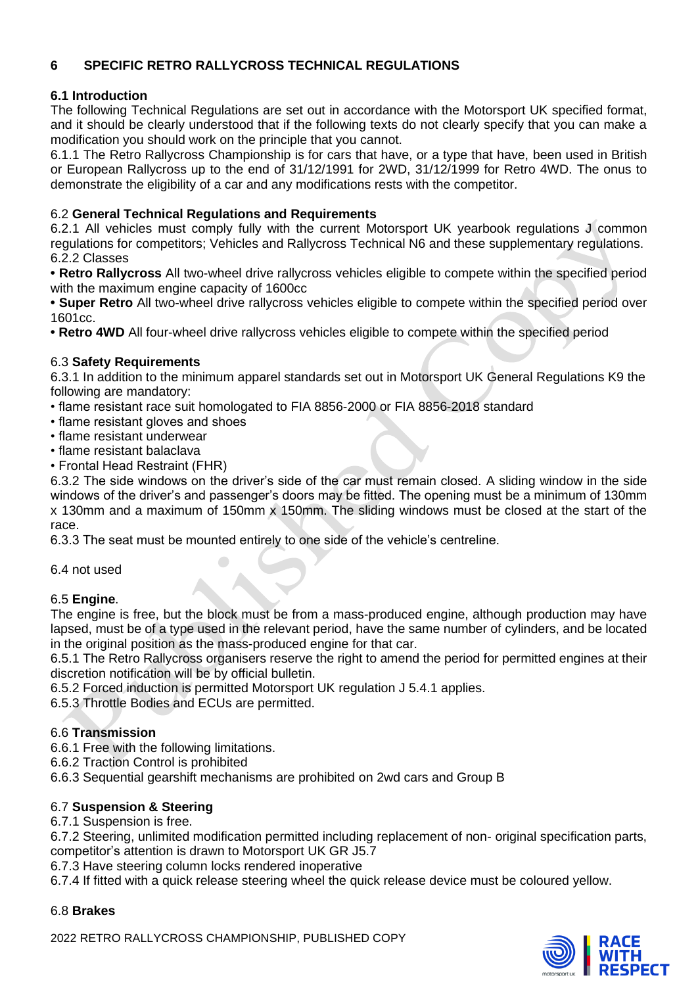## **6 SPECIFIC RETRO RALLYCROSS TECHNICAL REGULATIONS**

## **6.1 Introduction**

The following Technical Regulations are set out in accordance with the Motorsport UK specified format, and it should be clearly understood that if the following texts do not clearly specify that you can make a modification you should work on the principle that you cannot.

6.1.1 The Retro Rallycross Championship is for cars that have, or a type that have, been used in British or European Rallycross up to the end of 31/12/1991 for 2WD, 31/12/1999 for Retro 4WD. The onus to demonstrate the eligibility of a car and any modifications rests with the competitor.

## 6.2 **General Technical Regulations and Requirements**

6.2.1 All vehicles must comply fully with the current Motorsport UK yearbook regulations J common regulations for competitors; Vehicles and Rallycross Technical N6 and these supplementary regulations. 6.2.2 Classes

**• Retro Rallycross** All two-wheel drive rallycross vehicles eligible to compete within the specified period with the maximum engine capacity of 1600cc

**• Super Retro** All two-wheel drive rallycross vehicles eligible to compete within the specified period over 1601cc.

**• Retro 4WD** All four-wheel drive rallycross vehicles eligible to compete within the specified period

## 6.3 **Safety Requirements**

6.3.1 In addition to the minimum apparel standards set out in Motorsport UK General Regulations K9 the following are mandatory:

- flame resistant race suit homologated to FIA 8856-2000 or FIA 8856-2018 standard
- flame resistant gloves and shoes
- flame resistant underwear
- flame resistant balaclava
- Frontal Head Restraint (FHR)

6.3.2 The side windows on the driver's side of the car must remain closed. A sliding window in the side windows of the driver's and passenger's doors may be fitted. The opening must be a minimum of 130mm x 130mm and a maximum of 150mm x 150mm. The sliding windows must be closed at the start of the race.

6.3.3 The seat must be mounted entirely to one side of the vehicle's centreline.

6.4 not used

## 6.5 **Engine**.

The engine is free, but the block must be from a mass-produced engine, although production may have lapsed, must be of a type used in the relevant period, have the same number of cylinders, and be located in the original position as the mass-produced engine for that car.

6.5.1 The Retro Rallycross organisers reserve the right to amend the period for permitted engines at their discretion notification will be by official bulletin.

6.5.2 Forced induction is permitted Motorsport UK regulation J 5.4.1 applies.

6.5.3 Throttle Bodies and ECUs are permitted.

## 6.6 **Transmission**

6.6.1 Free with the following limitations.

6.6.2 Traction Control is prohibited

6.6.3 Sequential gearshift mechanisms are prohibited on 2wd cars and Group B

## 6.7 **Suspension & Steering**

6.7.1 Suspension is free.

6.7.2 Steering, unlimited modification permitted including replacement of non- original specification parts, competitor's attention is drawn to Motorsport UK GR J5.7

6.7.3 Have steering column locks rendered inoperative

6.7.4 If fitted with a quick release steering wheel the quick release device must be coloured yellow.

## 6.8 **Brakes**

2022 RETRO RALLYCROSS CHAMPIONSHIP, PUBLISHED COPY

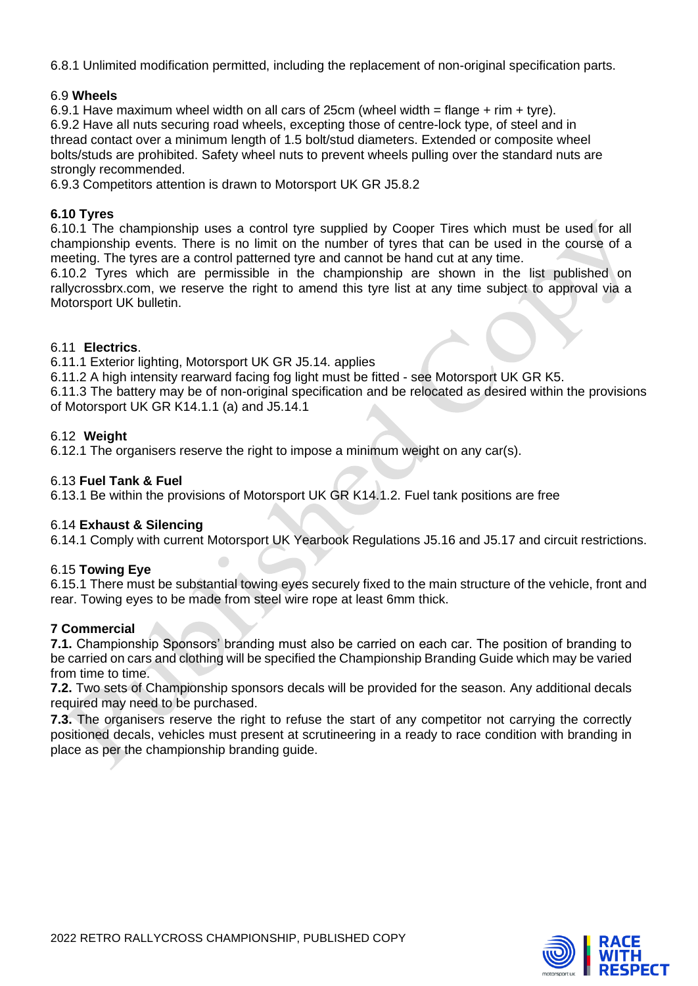6.8.1 Unlimited modification permitted, including the replacement of non-original specification parts.

#### 6.9 **Wheels**

6.9.1 Have maximum wheel width on all cars of 25cm (wheel width = flange + rim + tyre). 6.9.2 Have all nuts securing road wheels, excepting those of centre-lock type, of steel and in thread contact over a minimum length of 1.5 bolt/stud diameters. Extended or composite wheel bolts/studs are prohibited. Safety wheel nuts to prevent wheels pulling over the standard nuts are strongly recommended.

6.9.3 Competitors attention is drawn to Motorsport UK GR J5.8.2

### **6.10 Tyres**

6.10.1 The championship uses a control tyre supplied by Cooper Tires which must be used for all championship events. There is no limit on the number of tyres that can be used in the course of a meeting. The tyres are a control patterned tyre and cannot be hand cut at any time.

6.10.2 Tyres which are permissible in the championship are shown in the list published on rallycrossbrx.com, we reserve the right to amend this tyre list at any time subject to approval via a Motorsport UK bulletin.

### 6.11 **Electrics**.

6.11.1 Exterior lighting, Motorsport UK GR J5.14. applies

6.11.2 A high intensity rearward facing fog light must be fitted - see Motorsport UK GR K5.

6.11.3 The battery may be of non-original specification and be relocated as desired within the provisions of Motorsport UK GR K14.1.1 (a) and J5.14.1

#### 6.12 **Weight**

6.12.1 The organisers reserve the right to impose a minimum weight on any car(s).

### 6.13 **Fuel Tank & Fuel**

6.13.1 Be within the provisions of Motorsport UK GR K14.1.2. Fuel tank positions are free

#### 6.14 **Exhaust & Silencing**

6.14.1 Comply with current Motorsport UK Yearbook Regulations J5.16 and J5.17 and circuit restrictions.

#### 6.15 **Towing Eye**

6.15.1 There must be substantial towing eyes securely fixed to the main structure of the vehicle, front and rear. Towing eyes to be made from steel wire rope at least 6mm thick.

#### **7 Commercial**

**7.1.** Championship Sponsors' branding must also be carried on each car. The position of branding to be carried on cars and clothing will be specified the Championship Branding Guide which may be varied from time to time.

**7.2.** Two sets of Championship sponsors decals will be provided for the season. Any additional decals required may need to be purchased.

**7.3.** The organisers reserve the right to refuse the start of any competitor not carrying the correctly positioned decals, vehicles must present at scrutineering in a ready to race condition with branding in place as per the championship branding guide.